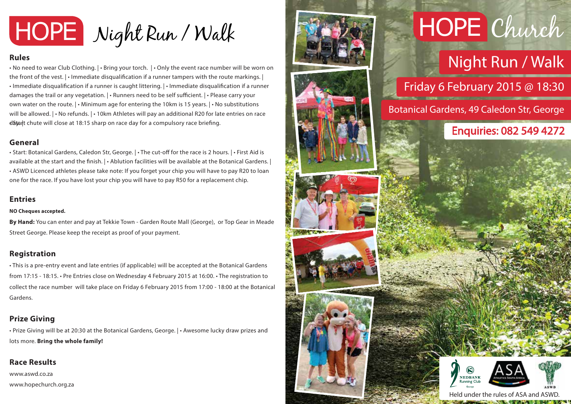

### **Rules**

• No need to wear Club Clothing. | • Bring your torch. | • Only the event race number will be worn on the front of the vest.  $|\cdot|$  mmediate disqualification if a runner tampers with the route markings.  $|$  $\cdot$  Immediate disqualification if a runner is caught littering.  $|\cdot|$ mmediate disqualification if a runner damages the trail or any vegetation.  $\vert \cdot \vert$  Runners need to be self sufficient.  $\vert \cdot \vert$  Please carry your own water on the route. | • Minimum age for entering the 10km is 15 years. | • No substitutions will be allowed.  $\cdot$  No refunds.  $\cdot$  10km Athletes will pay an additional R20 for late entries on race d<sub>atart</sub> chute will close at 18:15 sharp on race day for a compulsory race briefing.

### **General**

• Start: Botanical Gardens, Caledon Str, George. | • The cut-off for the race is 2 hours. | • First Aid is available at the start and the finish. | • Ablution facilities will be available at the Botanical Gardens. | • ASWD Licenced athletes please take note: If you forget your chip you will have to pay R20 to loan one for the race. If you have lost your chip you will have to pay R50 for a replacement chip.

### **Entries**

#### **NO Cheques accepted.**

**By Hand:** You can enter and pay at Tekkie Town - Garden Route Mall (George), or Top Gear in Meade Street George. Please keep the receipt as proof of your payment.

### **Registration**

• This is a pre-entry event and late entries (if applicable) will be accepted at the Botanical Gardens from 17:15 - 18:15. • Pre Entries close on Wednesday 4 February 2015 at 16:00. • The registration to collect the race number will take place on Friday 6 February 2015 from 17:00 - 18:00 at the Botanical Gardens.

# **Prize Giving**

• Prize Giving will be at 20:30 at the Botanical Gardens, George. | • Awesome lucky draw prizes and lots more. **Bring the whole family!**

# **Race Results**

www.aswd.co.za www.hopechurch.org.za



# HOPE Church

# Night Run / Walk

Friday 6 February 2015 @ 18:30

Botanical Gardens, 49 Caledon Str, George

# Enquiries: 082 549 4272